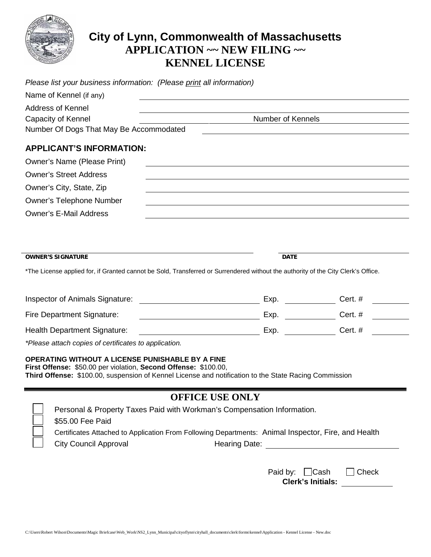

## **City of Lynn, Commonwealth of Massachusetts APPLICATION ~~ NEW FILING ~~ KENNEL LICENSE**

| Please list your business information: (Please print all information)                                                                                                                                                               |                                                                                                                  |                |  |
|-------------------------------------------------------------------------------------------------------------------------------------------------------------------------------------------------------------------------------------|------------------------------------------------------------------------------------------------------------------|----------------|--|
| Name of Kennel (if any)                                                                                                                                                                                                             |                                                                                                                  |                |  |
| <b>Address of Kennel</b>                                                                                                                                                                                                            |                                                                                                                  |                |  |
| Capacity of Kennel                                                                                                                                                                                                                  | Number of Kennels                                                                                                |                |  |
| Number Of Dogs That May Be Accommodated                                                                                                                                                                                             |                                                                                                                  |                |  |
| <b>APPLICANT'S INFORMATION:</b>                                                                                                                                                                                                     |                                                                                                                  |                |  |
| <b>Owner's Name (Please Print)</b>                                                                                                                                                                                                  |                                                                                                                  |                |  |
| <b>Owner's Street Address</b>                                                                                                                                                                                                       |                                                                                                                  |                |  |
| Owner's City, State, Zip                                                                                                                                                                                                            |                                                                                                                  |                |  |
| <b>Owner's Telephone Number</b>                                                                                                                                                                                                     | and the control of the control of the control of the control of the control of the control of the control of the |                |  |
| <b>Owner's E-Mail Address</b>                                                                                                                                                                                                       |                                                                                                                  |                |  |
|                                                                                                                                                                                                                                     |                                                                                                                  |                |  |
|                                                                                                                                                                                                                                     |                                                                                                                  |                |  |
| <b>OWNER'S SIGNATURE</b>                                                                                                                                                                                                            | <b>DATE</b>                                                                                                      |                |  |
| *The License applied for, if Granted cannot be Sold, Transferred or Surrendered without the authority of the City Clerk's Office.                                                                                                   |                                                                                                                  |                |  |
|                                                                                                                                                                                                                                     |                                                                                                                  |                |  |
| <b>Inspector of Animals Signature:</b>                                                                                                                                                                                              | Exp.                                                                                                             | Cert.#         |  |
| Fire Department Signature:                                                                                                                                                                                                          | Exp.                                                                                                             | Cert. $#$      |  |
| <b>Health Department Signature:</b>                                                                                                                                                                                                 | Exp.                                                                                                             | <b>Cert.</b> # |  |
| *Please attach copies of certificates to application.                                                                                                                                                                               |                                                                                                                  |                |  |
| <b>OPERATING WITHOUT A LICENSE PUNISHABLE BY A FINE</b><br>First Offense: \$50.00 per violation, Second Offense: \$100.00,<br>Third Offense: \$100.00, suspension of Kennel License and notification to the State Racing Commission |                                                                                                                  |                |  |
|                                                                                                                                                                                                                                     | <b>OFFICE USE ONLY</b>                                                                                           |                |  |
| Personal & Property Taxes Paid with Workman's Compensation Information.                                                                                                                                                             |                                                                                                                  |                |  |
| \$55.00 Fee Paid                                                                                                                                                                                                                    |                                                                                                                  |                |  |
| Certificates Attached to Application From Following Departments: Animal Inspector, Fire, and Health<br><b>City Council Approval</b>                                                                                                 | Hearing Date: <b>Example 2018</b>                                                                                |                |  |
|                                                                                                                                                                                                                                     |                                                                                                                  |                |  |
|                                                                                                                                                                                                                                     |                                                                                                                  |                |  |
|                                                                                                                                                                                                                                     | Paid by: $\Box$ Cash<br><b>Clerk's Initials:</b>                                                                 | Check          |  |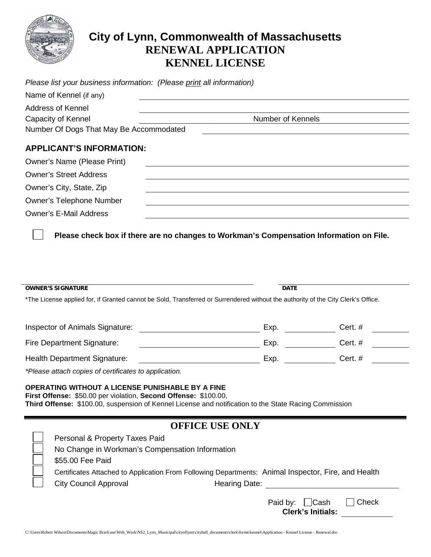

## **City of Lynn, Commonwealth of Massachusetts RENEWAL APPLICATION KENNEL LICENSE**

| Please list your business information: (Please print all information) |                   |  |  |
|-----------------------------------------------------------------------|-------------------|--|--|
| Name of Kennel (if any)                                               |                   |  |  |
| Address of Kennel                                                     |                   |  |  |
| Capacity of Kennel                                                    | Number of Kennels |  |  |
| Number Of Dogs That May Be Accommodated                               |                   |  |  |
|                                                                       |                   |  |  |
| <b>APPLICANT'S INFORMATION:</b>                                       |                   |  |  |
| <b>Owner's Name (Please Print)</b>                                    |                   |  |  |
| <b>Owner's Street Address</b>                                         |                   |  |  |
| Owner's City, State, Zip                                              |                   |  |  |
| <b>Owner's Telephone Number</b>                                       |                   |  |  |
| <b>Owner's E-Mail Address</b>                                         |                   |  |  |

**Please check box if there are no changes to Workman's Compensation Information on File.**

| <b>OWNER'S SIGNATURE</b>                                                                                                                                                                                                            | <b>DATE</b> |           |  |  |
|-------------------------------------------------------------------------------------------------------------------------------------------------------------------------------------------------------------------------------------|-------------|-----------|--|--|
| *The License applied for, if Granted cannot be Sold, Transferred or Surrendered without the authority of the City Clerk's Office.                                                                                                   |             |           |  |  |
| Inspector of Animals Signature:                                                                                                                                                                                                     | Exp.        | Cert. $#$ |  |  |
| <b>Fire Department Signature:</b>                                                                                                                                                                                                   | Exp.        | Cert. $#$ |  |  |
| Health Department Signature:                                                                                                                                                                                                        | Exp.        | Cert.#    |  |  |
| *Please attach copies of certificates to application.                                                                                                                                                                               |             |           |  |  |
| OPERATING WITHOUT A LICENSE PUNISHABLE BY A FINE<br>First Offense: \$50.00 per violation, Second Offense: \$100.00,<br><b>Third Offense:</b> \$100.00, suspension of Kennel License and notification to the State Racing Commission |             |           |  |  |

| <b>OFFICE USE ONLY</b> |  |  |
|------------------------|--|--|
|------------------------|--|--|

| Personal & Property Taxes Paid                                                                      |  |
|-----------------------------------------------------------------------------------------------------|--|
| No Change in Workman's Compensation Information                                                     |  |
| \$55.00 Fee Paid                                                                                    |  |
| Certificates Attached to Application From Following Departments: Animal Inspector, Fire, and Health |  |
| <b>City Council Approval</b><br>Hearing Date:                                                       |  |
| Paid by: Cash<br>Check                                                                              |  |

| <b>Clerk's Initials:</b> |  |
|--------------------------|--|
|                          |  |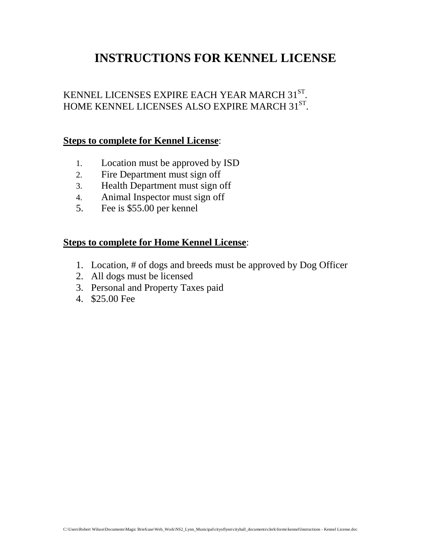# **INSTRUCTIONS FOR KENNEL LICENSE**

#### KENNEL LICENSES EXPIRE EACH YEAR MARCH 31ST. HOME KENNEL LICENSES ALSO EXPIRE MARCH 31ST.

#### **Steps to complete for Kennel License**:

- 1. Location must be approved by ISD
- 2. Fire Department must sign off
- 3. Health Department must sign off
- 4. Animal Inspector must sign off
- 5. Fee is \$55.00 per kennel

#### **Steps to complete for Home Kennel License**:

- 1. Location, # of dogs and breeds must be approved by Dog Officer
- 2. All dogs must be licensed
- 3. Personal and Property Taxes paid
- 4. \$25.00 Fee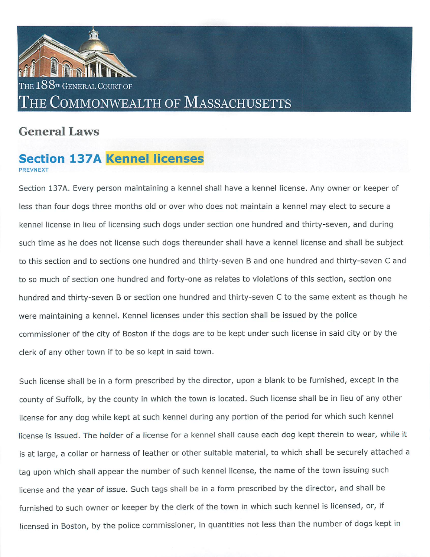

# **General Laws**

# **Section 137A Kennel licenses**

Section 137A. Every person maintaining a kennel shall have a kennel license. Any owner or keeper of less than four dogs three months old or over who does not maintain a kennel may elect to secure a kennel license in lieu of licensing such dogs under section one hundred and thirty-seven, and during such time as he does not license such dogs thereunder shall have a kennel license and shall be subject to this section and to sections one hundred and thirty-seven B and one hundred and thirty-seven C and to so much of section one hundred and forty-one as relates to violations of this section, section one hundred and thirty-seven B or section one hundred and thirty-seven C to the same extent as though he were maintaining a kennel. Kennel licenses under this section shall be issued by the police commissioner of the city of Boston if the dogs are to be kept under such license in said city or by the clerk of any other town if to be so kept in said town.

Such license shall be in a form prescribed by the director, upon a blank to be furnished, except in the county of Suffolk, by the county in which the town is located. Such license shall be in lieu of any other license for any dog while kept at such kennel during any portion of the period for which such kennel license is issued. The holder of a license for a kennel shall cause each dog kept therein to wear, while it is at large, a collar or harness of leather or other suitable material, to which shall be securely attached a tag upon which shall appear the number of such kennel license, the name of the town issuing such license and the year of issue. Such tags shall be in a form prescribed by the director, and shall be furnished to such owner or keeper by the clerk of the town in which such kennel is licensed, or, if licensed in Boston, by the police commissioner, in quantities not less than the number of dogs kept in